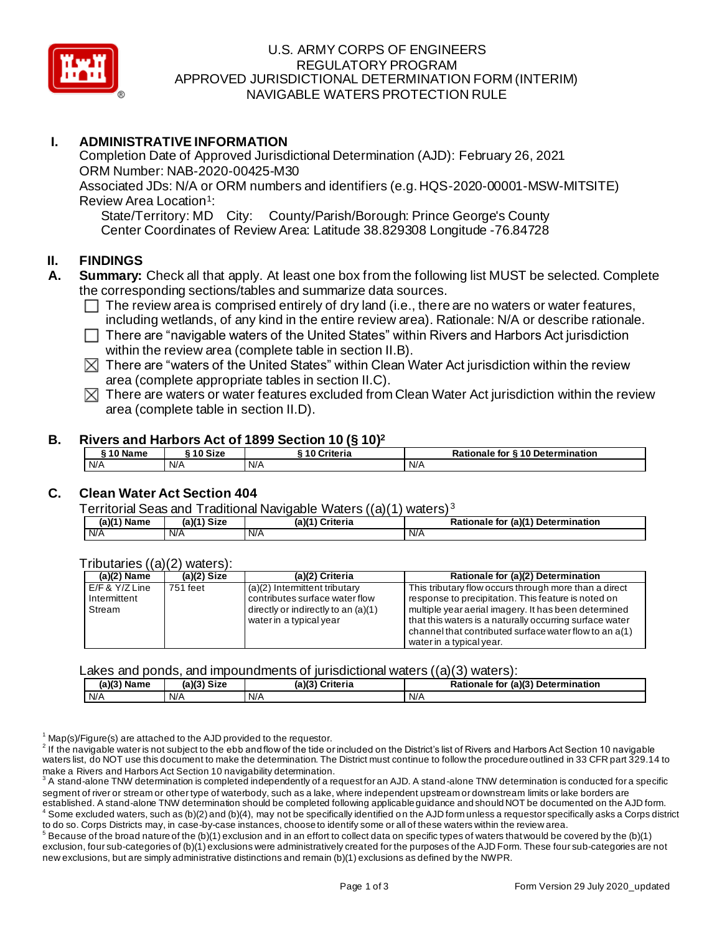

### U.S. ARMY CORPS OF ENGINEERS REGULATORY PROGRAM APPROVED JURISDICTIONAL DETERMINATION FORM (INTERIM) NAVIGABLE WATERS PROTECTION RULE

# **I. ADMINISTRATIVE INFORMATION**

Completion Date of Approved Jurisdictional Determination (AJD): February 26, 2021 ORM Number: NAB-2020-00425-M30 Associated JDs: N/A or ORM numbers and identifiers (e.g. HQS-2020-00001-MSW-MITSITE) Review Area Location<sup>1</sup>:

State/Territory: MD City: County/Parish/Borough: Prince George's County Center Coordinates of Review Area: Latitude 38.829308 Longitude -76.84728

#### **II. FINDINGS**

- **A. Summary:** Check all that apply. At least one box from the following list MUST be selected. Complete the corresponding sections/tables and summarize data sources.
	- $\Box$  The review area is comprised entirely of dry land (i.e., there are no waters or water features, including wetlands, of any kind in the entire review area). Rationale: N/A or describe rationale.
	- $\Box$  There are "navigable waters of the United States" within Rivers and Harbors Act jurisdiction within the review area (complete table in section II.B).
	- $\boxtimes$  There are "waters of the United States" within Clean Water Act jurisdiction within the review area (complete appropriate tables in section II.C).
	- $\boxtimes$  There are waters or water features excluded from Clean Water Act jurisdiction within the review area (complete table in section II.D).

#### **B. Rivers and Harbors Act of 1899 Section 10 (§ 10)<sup>2</sup>**

| 10 Name | 10 Size | 10 Criteria | Rationale for §10 Determination |
|---------|---------|-------------|---------------------------------|
| N/A     | N/A     | I N/A       | N/A                             |

## **C. Clean Water Act Section 404**

Territorial Seas and Traditional Navigable Waters ((a)(1) waters) <sup>3</sup>

| (a)(1)<br>Name | <b>Size</b><br>(25) | (a)(1)<br>Criteria | . ''u (a)′<br><b>Determination</b><br><b>Rationale for</b> |
|----------------|---------------------|--------------------|------------------------------------------------------------|
| N/A            | N/A                 | N/F                | N/A                                                        |

#### Tributaries ((a)(2) waters):

| $(a)(2)$ Name                      | $(a)(2)$ Size | (a)(2) Criteria                                                 | Rationale for (a)(2) Determination                                                                              |
|------------------------------------|---------------|-----------------------------------------------------------------|-----------------------------------------------------------------------------------------------------------------|
| $E/F$ & $Y/Z$ Line<br>Intermittent | 751 feet      | (a)(2) Intermittent tributary<br>contributes surface water flow | This tributary flow occurs through more than a direct<br>response to precipitation. This feature is noted on    |
| Stream                             |               | directly or indirectly to an (a)(1)<br>water in a typical year  | multiple year aerial imagery. It has been determined<br>that this waters is a naturally occurring surface water |
|                                    |               |                                                                 | channel that contributed surface water flow to an a(1)<br>water in a typical year.                              |

#### Lakes and ponds, and impoundments of jurisdictional waters ((a)(3) waters):

| Name | $(a)(3)$ Size | (a)(?')<br>Criteria | (a)(3) Determination<br>Rationale<br>. for |
|------|---------------|---------------------|--------------------------------------------|
| N/A  | N/A           | N/A                 | N/A                                        |

 $1$  Map(s)/Figure(s) are attached to the AJD provided to the requestor.

 $^2$  If the navigable water is not subject to the ebb and flow of the tide or included on the District's list of Rivers and Harbors Act Section 10 navigable waters list, do NOT use this document to make the determination. The District must continue to follow the procedure outlined in 33 CFR part 329.14 to make a Rivers and Harbors Act Section 10 navigability determination.

 $^3$  A stand-alone TNW determination is completed independently of a request for an AJD. A stand-alone TNW determination is conducted for a specific segment of river or stream or other type of waterbody, such as a lake, where independent upstream or downstream limits or lake borders are established. A stand-alone TNW determination should be completed following applicable guidance and should NOT be documented on the AJD form. Some excluded waters, such as (b)(2) and (b)(4), may not be specifically identified on the AJD form unless a requestor specifically asks a Corps district to do so. Corps Districts may, in case-by-case instances, choose to identify some or all of these waters within the review area.

 $^5$  Because of the broad nature of the (b)(1) exclusion and in an effort to collect data on specific types of waters that would be covered by the (b)(1) exclusion, four sub-categories of (b)(1) exclusions were administratively created for the purposes of the AJD Form. These four sub-categories are not new exclusions, but are simply administrative distinctions and remain (b)(1) exclusions as defined by the NWPR.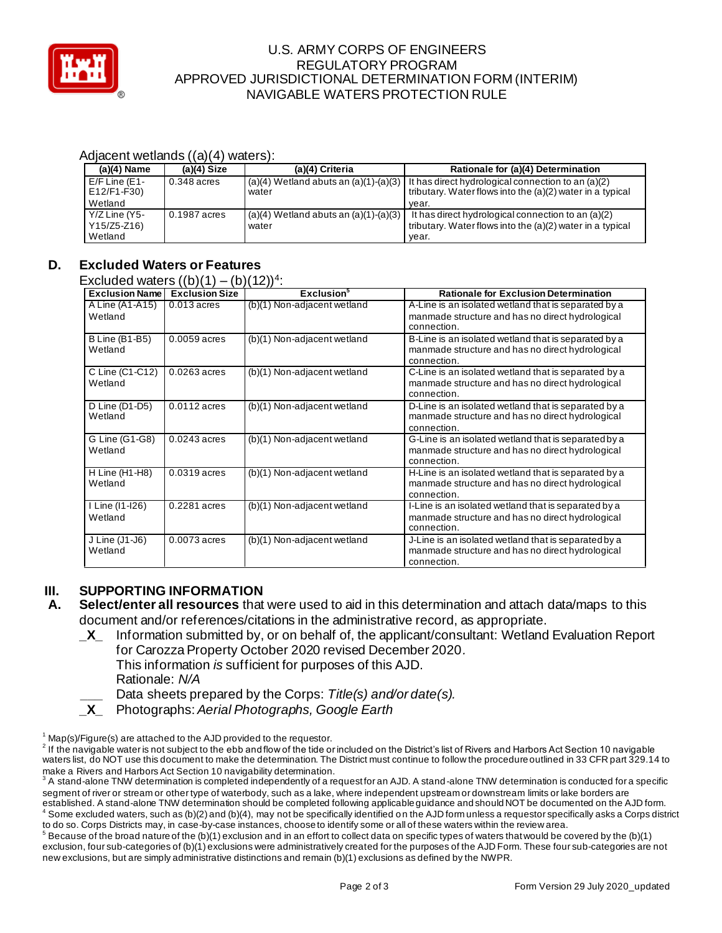

### U.S. ARMY CORPS OF ENGINEERS REGULATORY PROGRAM APPROVED JURISDICTIONAL DETERMINATION FORM (INTERIM) NAVIGABLE WATERS PROTECTION RULE

#### Adjacent wetlands ((a)(4) waters):

| $(a)(4)$ Name   | $(a)(4)$ Size | (a)(4) Criteria                           | Rationale for (a)(4) Determination                        |
|-----------------|---------------|-------------------------------------------|-----------------------------------------------------------|
| $E/F$ Line (E1- | $0.348$ acres | $(a)(4)$ Wetland abuts an $(a)(1)-(a)(3)$ | It has direct hydrological connection to an $(a)(2)$      |
| E12/F1-F30)     |               | water                                     | tributary. Water flows into the (a)(2) water in a typical |
| Wetland         |               |                                           | vear.                                                     |
| Y/Z Line (Y5-   | 0.1987 acres  | $(a)(4)$ Wetland abuts an $(a)(1)-(a)(3)$ | It has direct hydrological connection to an (a)(2)        |
| Y15/Z5-Z16)     |               | water                                     | tributary. Water flows into the (a)(2) water in a typical |
| Wetland         |               |                                           | year.                                                     |

# **D. Excluded Waters or Features**

Excluded waters  $((b)(1) - (b)(12))^4$ :

| <b>Exclusion Name</b>           | <b>Exclusion Size</b> | Exclusion <sup>3</sup>      | <b>Rationale for Exclusion Determination</b>                                                                            |
|---------------------------------|-----------------------|-----------------------------|-------------------------------------------------------------------------------------------------------------------------|
| A Line (A1-A15)<br>Wetland      | $0.013$ acres         | (b)(1) Non-adjacent wetland | A-Line is an isolated wetland that is separated by a<br>manmade structure and has no direct hydrological<br>connection. |
| B Line (B1-B5)<br>Wetland       | $0.0059$ acres        | (b)(1) Non-adjacent wetland | B-Line is an isolated wetland that is separated by a<br>manmade structure and has no direct hydrological<br>connection. |
| C Line (C1-C12)<br>Wetland      | $0.0263$ acres        | (b)(1) Non-adjacent wetland | C-Line is an isolated wetland that is separated by a<br>manmade structure and has no direct hydrological<br>connection. |
| D Line (D1-D5)<br>Wetland       | $0.0112$ acres        | (b)(1) Non-adjacent wetland | D-Line is an isolated wetland that is separated by a<br>manmade structure and has no direct hydrological<br>connection. |
| G Line (G1-G8)<br>Wetland       | $0.0243$ acres        | (b)(1) Non-adjacent wetland | G-Line is an isolated wetland that is separated by a<br>manmade structure and has no direct hydrological<br>connection. |
| H Line (H1-H8)<br>Wetland       | $0.0319$ acres        | (b)(1) Non-adjacent wetland | H-Line is an isolated wetland that is separated by a<br>manmade structure and has no direct hydrological<br>connection. |
| I Line (11-126)<br>Wetland      | 0.2281 acres          | (b)(1) Non-adjacent wetland | I-Line is an isolated wetland that is separated by a<br>manmade structure and has no direct hydrological<br>connection. |
| $J$ Line ( $J1-J6$ )<br>Wetland | $0.0073$ acres        | (b)(1) Non-adjacent wetland | J-Line is an isolated wetland that is separated by a<br>manmade structure and has no direct hydrological<br>connection. |

# **III. SUPPORTING INFORMATION**

- **A. Select/enter all resources** that were used to aid in this determination and attach data/maps to this document and/or references/citations in the administrative record, as appropriate.
	- **\_X\_** Information submitted by, or on behalf of, the applicant/consultant: Wetland Evaluation Report for Carozza Property October 2020 revised December 2020*.*

This information *is* sufficient for purposes of this AJD. Rationale: *N/A* 

**\_\_\_** Data sheets prepared by the Corps: *Title(s) and/or date(s).*

**\_X\_** Photographs: *Aerial Photographs, Google Earth*

 $^5$  Because of the broad nature of the (b)(1) exclusion and in an effort to collect data on specific types of waters that would be covered by the (b)(1) exclusion, four sub-categories of (b)(1) exclusions were administratively created for the purposes of the AJD Form. These four sub-categories are not new exclusions, but are simply administrative distinctions and remain (b)(1) exclusions as defined by the NWPR.

 $1$  Map(s)/Figure(s) are attached to the AJD provided to the requestor.

 $^2$  If the navigable water is not subject to the ebb and flow of the tide or included on the District's list of Rivers and Harbors Act Section 10 navigable waters list, do NOT use this document to make the determination. The District must continue to follow the procedure outlined in 33 CFR part 329.14 to make a Rivers and Harbors Act Section 10 navigability determination.

 $^3$  A stand-alone TNW determination is completed independently of a request for an AJD. A stand-alone TNW determination is conducted for a specific segment of river or stream or other type of waterbody, such as a lake, where independent upstream or downstream limits or lake borders are established. A stand-alone TNW determination should be completed following applicable guidance and should NOT be documented on the AJD form. Some excluded waters, such as (b)(2) and (b)(4), may not be specifically identified on the AJD form unless a requestor specifically asks a Corps district to do so. Corps Districts may, in case-by-case instances, choose to identify some or all of these waters within the review area.